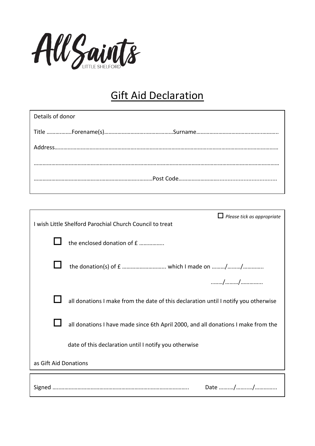

## Gift Aid Declaration

| Details of donor                  |
|-----------------------------------|
|                                   |
|                                   |
|                                   |
|                                   |
|                                   |
| $\Box$ Please tick as appropriate |

| $\Box$ Please tick as appropriate<br>I wish Little Shelford Parochial Church Council to treat |                                                                                     |  |
|-----------------------------------------------------------------------------------------------|-------------------------------------------------------------------------------------|--|
|                                                                                               | the enclosed donation of £                                                          |  |
|                                                                                               |                                                                                     |  |
|                                                                                               |                                                                                     |  |
|                                                                                               | all donations I make from the date of this declaration until I notify you otherwise |  |
|                                                                                               | all donations I have made since 6th April 2000, and all donations I make from the   |  |
|                                                                                               | date of this declaration until I notify you otherwise                               |  |
| as Gift Aid Donations                                                                         |                                                                                     |  |
|                                                                                               |                                                                                     |  |